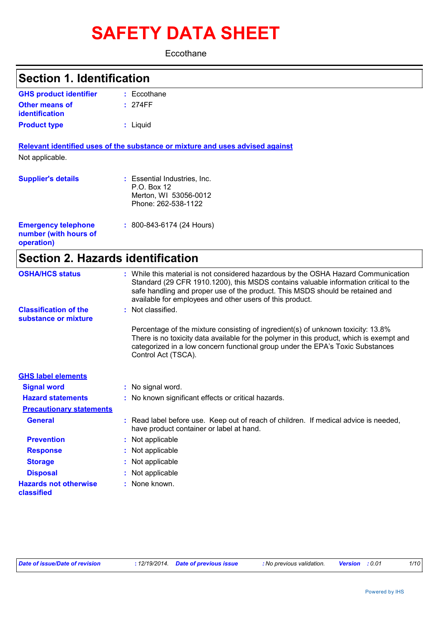# **SAFETY DATA SHEET**

**Eccothane** 

| <b>Section 1. Identification</b>                                  |                                                                                                                                                                                                                                                                                                                         |  |  |
|-------------------------------------------------------------------|-------------------------------------------------------------------------------------------------------------------------------------------------------------------------------------------------------------------------------------------------------------------------------------------------------------------------|--|--|
| <b>GHS product identifier</b>                                     | $:$ Eccothane                                                                                                                                                                                                                                                                                                           |  |  |
| <b>Other means of</b><br>identification                           | : 274FF                                                                                                                                                                                                                                                                                                                 |  |  |
| <b>Product type</b>                                               | : Liquid                                                                                                                                                                                                                                                                                                                |  |  |
|                                                                   | Relevant identified uses of the substance or mixture and uses advised against                                                                                                                                                                                                                                           |  |  |
| Not applicable.                                                   |                                                                                                                                                                                                                                                                                                                         |  |  |
| <b>Supplier's details</b>                                         | : Essential Industries, Inc.<br>P.O. Box 12<br>Merton, WI 53056-0012<br>Phone: 262-538-1122                                                                                                                                                                                                                             |  |  |
| <b>Emergency telephone</b><br>number (with hours of<br>operation) | $: 800 - 843 - 6174$ (24 Hours)                                                                                                                                                                                                                                                                                         |  |  |
| <b>Section 2. Hazards identification</b>                          |                                                                                                                                                                                                                                                                                                                         |  |  |
| <b>OSHA/HCS status</b>                                            | : While this material is not considered hazardous by the OSHA Hazard Communication<br>Standard (29 CFR 1910.1200), this MSDS contains valuable information critical to the<br>safe handling and proper use of the product. This MSDS should be retained and<br>available for employees and other users of this product. |  |  |
| <b>Classification of the</b><br>substance or mixture              | Not classified.                                                                                                                                                                                                                                                                                                         |  |  |
|                                                                   | Percentage of the mixture consisting of ingredient(s) of unknown toxicity: 13.8%<br>There is no toxicity data available for the polymer in this product, which is exempt and<br>categorized in a low concern functional group under the EPA's Toxic Substances<br>Control Act (TSCA).                                   |  |  |
| <b>GHS label elements</b>                                         |                                                                                                                                                                                                                                                                                                                         |  |  |
| <b>Signal word</b>                                                | : No signal word.                                                                                                                                                                                                                                                                                                       |  |  |
| <b>Hazard statements</b>                                          | : No known significant effects or critical hazards.                                                                                                                                                                                                                                                                     |  |  |
| <b>Precautionary statements</b>                                   |                                                                                                                                                                                                                                                                                                                         |  |  |
| <b>General</b>                                                    | : Read label before use. Keep out of reach of children. If medical advice is needed,<br>have product container or label at hand.                                                                                                                                                                                        |  |  |
| <b>Prevention</b>                                                 | Not applicable                                                                                                                                                                                                                                                                                                          |  |  |
| <b>Response</b>                                                   | Not applicable                                                                                                                                                                                                                                                                                                          |  |  |
| <b>Storage</b>                                                    | Not applicable                                                                                                                                                                                                                                                                                                          |  |  |
| <b>Disposal</b>                                                   | Not applicable                                                                                                                                                                                                                                                                                                          |  |  |
| <b>Hazards not otherwise</b><br>classified                        | None known.                                                                                                                                                                                                                                                                                                             |  |  |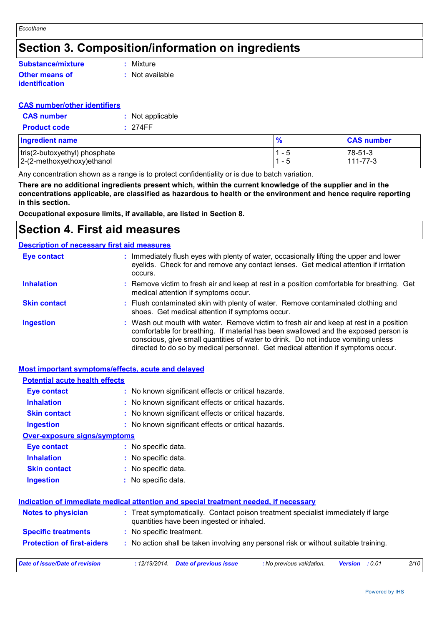# **Section 3. Composition/information on ingredients**

#### **Other means of identification Substance/mixture**

**:** Mixture

**:** Not available

#### **CAS number/other identifiers**

| <b>CAS number</b>   | : Not applicable |
|---------------------|------------------|
| <b>Product code</b> | : 274FF          |

| <b>Ingredient name</b>        |         | <b>CAS number</b> |
|-------------------------------|---------|-------------------|
| tris(2-butoxyethyl) phosphate | 1 - 5   | $78-51-3$         |
| 2-(2-methoxyethoxy) ethanol   | $1 - 5$ | $111 - 77 - 3$    |

Any concentration shown as a range is to protect confidentiality or is due to batch variation.

**There are no additional ingredients present which, within the current knowledge of the supplier and in the concentrations applicable, are classified as hazardous to health or the environment and hence require reporting in this section.**

**Occupational exposure limits, if available, are listed in Section 8.**

### **Section 4. First aid measures**

#### Wash out mouth with water. Remove victim to fresh air and keep at rest in a position comfortable for breathing. If material has been swallowed and the exposed person is conscious, give small quantities of water to drink. Do not induce vomiting unless directed to do so by medical personnel. Get medical attention if symptoms occur. **:** Immediately flush eyes with plenty of water, occasionally lifting the upper and lower eyelids. Check for and remove any contact lenses. Get medical attention if irritation occurs. Flush contaminated skin with plenty of water. Remove contaminated clothing and **:** shoes. Get medical attention if symptoms occur. Remove victim to fresh air and keep at rest in a position comfortable for breathing. Get **:** medical attention if symptoms occur. **Eye contact Skin contact Inhalation Ingestion : Description of necessary first aid measures**

#### **Most important symptoms/effects, acute and delayed**

| <b>Potential acute health effects</b> |                                                                                                                                |
|---------------------------------------|--------------------------------------------------------------------------------------------------------------------------------|
| <b>Eye contact</b>                    | : No known significant effects or critical hazards.                                                                            |
| <b>Inhalation</b>                     | : No known significant effects or critical hazards.                                                                            |
| <b>Skin contact</b>                   | : No known significant effects or critical hazards.                                                                            |
| <b>Ingestion</b>                      | : No known significant effects or critical hazards.                                                                            |
| <b>Over-exposure signs/symptoms</b>   |                                                                                                                                |
| Eye contact                           | : No specific data.                                                                                                            |
| <b>Inhalation</b>                     | : No specific data.                                                                                                            |
| <b>Skin contact</b>                   | : No specific data.                                                                                                            |
| <b>Ingestion</b>                      | : No specific data.                                                                                                            |
|                                       | Indication of immediate medical attention and special treatment needed, if necessary                                           |
| Notes to physician                    | : Treat symptomatically. Contact poison treatment specialist immediately if large<br>quantities have been ingested or inhaled. |
| <b>Specific treatments</b>            | : No specific treatment.                                                                                                       |
| <b>Protection of first-aiders</b>     | : No action shall be taken involving any personal risk or without suitable training.                                           |
| Date of issue/Date of revision        | <b>Date of previous issue</b><br>2/10<br>: 12/19/2014.<br>: No previous validation.<br><b>Version</b><br>: 0.01                |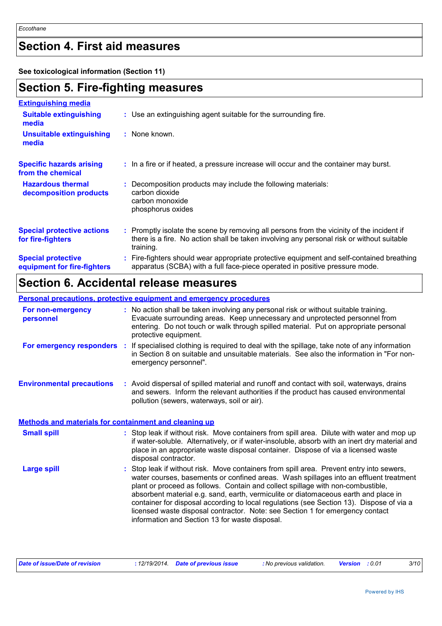# **Section 4. First aid measures**

**See toxicological information (Section 11)**

# **Section 5. Fire-fighting measures**

| <b>Extinguishing media</b>                               |                                                                                                                                                                                                     |
|----------------------------------------------------------|-----------------------------------------------------------------------------------------------------------------------------------------------------------------------------------------------------|
| <b>Suitable extinguishing</b><br>media                   | : Use an extinguishing agent suitable for the surrounding fire.                                                                                                                                     |
| <b>Unsuitable extinguishing</b><br>media                 | : None known.                                                                                                                                                                                       |
| <b>Specific hazards arising</b><br>from the chemical     | : In a fire or if heated, a pressure increase will occur and the container may burst.                                                                                                               |
| <b>Hazardous thermal</b><br>decomposition products       | Decomposition products may include the following materials:<br>carbon dioxide<br>carbon monoxide<br>phosphorus oxides                                                                               |
| <b>Special protective actions</b><br>for fire-fighters   | : Promptly isolate the scene by removing all persons from the vicinity of the incident if<br>there is a fire. No action shall be taken involving any personal risk or without suitable<br>training. |
| <b>Special protective</b><br>equipment for fire-fighters | Fire-fighters should wear appropriate protective equipment and self-contained breathing<br>apparatus (SCBA) with a full face-piece operated in positive pressure mode.                              |

# **Section 6. Accidental release measures**

|                                                       | <b>Personal precautions, protective equipment and emergency procedures</b>                                                                                                                                                                                                                                                                                                                                                                                                                                                                                                               |
|-------------------------------------------------------|------------------------------------------------------------------------------------------------------------------------------------------------------------------------------------------------------------------------------------------------------------------------------------------------------------------------------------------------------------------------------------------------------------------------------------------------------------------------------------------------------------------------------------------------------------------------------------------|
| For non-emergency<br>personnel                        | : No action shall be taken involving any personal risk or without suitable training.<br>Evacuate surrounding areas. Keep unnecessary and unprotected personnel from<br>entering. Do not touch or walk through spilled material. Put on appropriate personal<br>protective equipment.                                                                                                                                                                                                                                                                                                     |
| For emergency responders :                            | If specialised clothing is required to deal with the spillage, take note of any information<br>in Section 8 on suitable and unsuitable materials. See also the information in "For non-<br>emergency personnel".                                                                                                                                                                                                                                                                                                                                                                         |
| <b>Environmental precautions</b>                      | : Avoid dispersal of spilled material and runoff and contact with soil, waterways, drains<br>and sewers. Inform the relevant authorities if the product has caused environmental<br>pollution (sewers, waterways, soil or air).                                                                                                                                                                                                                                                                                                                                                          |
| Methods and materials for containment and cleaning up |                                                                                                                                                                                                                                                                                                                                                                                                                                                                                                                                                                                          |
| <b>Small spill</b>                                    | : Stop leak if without risk. Move containers from spill area. Dilute with water and mop up<br>if water-soluble. Alternatively, or if water-insoluble, absorb with an inert dry material and<br>place in an appropriate waste disposal container. Dispose of via a licensed waste<br>disposal contractor.                                                                                                                                                                                                                                                                                 |
| <b>Large spill</b>                                    | Stop leak if without risk. Move containers from spill area. Prevent entry into sewers,<br>water courses, basements or confined areas. Wash spillages into an effluent treatment<br>plant or proceed as follows. Contain and collect spillage with non-combustible,<br>absorbent material e.g. sand, earth, vermiculite or diatomaceous earth and place in<br>container for disposal according to local regulations (see Section 13). Dispose of via a<br>licensed waste disposal contractor. Note: see Section 1 for emergency contact<br>information and Section 13 for waste disposal. |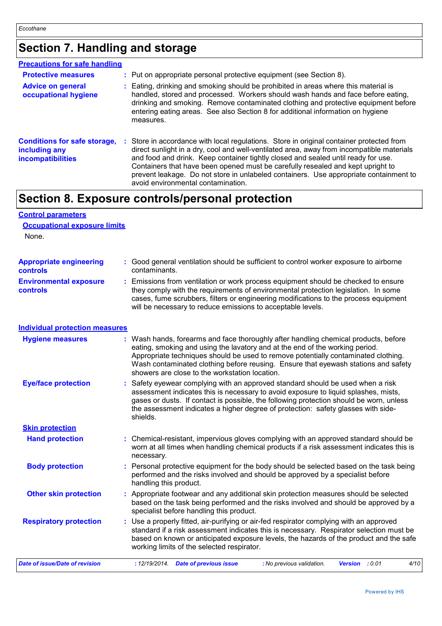# **Section 7. Handling and storage**

| <b>Precautions for safe handling</b>                                             |                                                                                                                                                                                                                                                                                                                                                                                                                                                                                              |
|----------------------------------------------------------------------------------|----------------------------------------------------------------------------------------------------------------------------------------------------------------------------------------------------------------------------------------------------------------------------------------------------------------------------------------------------------------------------------------------------------------------------------------------------------------------------------------------|
| <b>Protective measures</b>                                                       | : Put on appropriate personal protective equipment (see Section 8).                                                                                                                                                                                                                                                                                                                                                                                                                          |
| <b>Advice on general</b><br>occupational hygiene                                 | Eating, drinking and smoking should be prohibited in areas where this material is<br>handled, stored and processed. Workers should wash hands and face before eating,<br>drinking and smoking. Remove contaminated clothing and protective equipment before<br>entering eating areas. See also Section 8 for additional information on hygiene<br>measures.                                                                                                                                  |
| <b>Conditions for safe storage,</b><br>including any<br><b>incompatibilities</b> | : Store in accordance with local regulations. Store in original container protected from<br>direct sunlight in a dry, cool and well-ventilated area, away from incompatible materials<br>and food and drink. Keep container tightly closed and sealed until ready for use.<br>Containers that have been opened must be carefully resealed and kept upright to<br>prevent leakage. Do not store in unlabeled containers. Use appropriate containment to<br>avoid environmental contamination. |

# **Section 8. Exposure controls/personal protection**

### **Control parameters Occupational exposure limits**

None.

| <b>Appropriate engineering</b>                   | : Good general ventilation should be sufficient to control worker exposure to airborne                                                                                                                                                                                                                                          |
|--------------------------------------------------|---------------------------------------------------------------------------------------------------------------------------------------------------------------------------------------------------------------------------------------------------------------------------------------------------------------------------------|
| <b>controls</b>                                  | contaminants.                                                                                                                                                                                                                                                                                                                   |
| <b>Environmental exposure</b><br><b>controls</b> | : Emissions from ventilation or work process equipment should be checked to ensure<br>they comply with the requirements of environmental protection legislation. In some<br>cases, fume scrubbers, filters or engineering modifications to the process equipment<br>will be necessary to reduce emissions to acceptable levels. |

#### **Individual protection measures**

| <b>Hygiene measures</b>        | : Wash hands, forearms and face thoroughly after handling chemical products, before<br>eating, smoking and using the lavatory and at the end of the working period.<br>Appropriate techniques should be used to remove potentially contaminated clothing.<br>Wash contaminated clothing before reusing. Ensure that eyewash stations and safety<br>showers are close to the workstation location. |  |  |  |
|--------------------------------|---------------------------------------------------------------------------------------------------------------------------------------------------------------------------------------------------------------------------------------------------------------------------------------------------------------------------------------------------------------------------------------------------|--|--|--|
| <b>Eye/face protection</b>     | : Safety eyewear complying with an approved standard should be used when a risk<br>assessment indicates this is necessary to avoid exposure to liquid splashes, mists,<br>gases or dusts. If contact is possible, the following protection should be worn, unless<br>the assessment indicates a higher degree of protection: safety glasses with side-<br>shields.                                |  |  |  |
| <b>Skin protection</b>         |                                                                                                                                                                                                                                                                                                                                                                                                   |  |  |  |
| <b>Hand protection</b>         | : Chemical-resistant, impervious gloves complying with an approved standard should be<br>worn at all times when handling chemical products if a risk assessment indicates this is<br>necessary.                                                                                                                                                                                                   |  |  |  |
| <b>Body protection</b>         | : Personal protective equipment for the body should be selected based on the task being<br>performed and the risks involved and should be approved by a specialist before<br>handling this product.                                                                                                                                                                                               |  |  |  |
| <b>Other skin protection</b>   | : Appropriate footwear and any additional skin protection measures should be selected<br>based on the task being performed and the risks involved and should be approved by a<br>specialist before handling this product.                                                                                                                                                                         |  |  |  |
| <b>Respiratory protection</b>  | : Use a properly fitted, air-purifying or air-fed respirator complying with an approved<br>standard if a risk assessment indicates this is necessary. Respirator selection must be<br>based on known or anticipated exposure levels, the hazards of the product and the safe<br>working limits of the selected respirator.                                                                        |  |  |  |
| Date of issue/Date of revision | 4/10<br>: 12/19/2014. Date of previous issue<br>: No previous validation.<br>Version : 0.01                                                                                                                                                                                                                                                                                                       |  |  |  |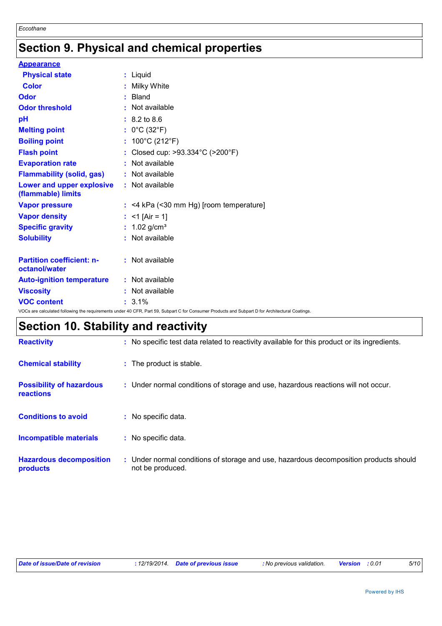# **Section 9. Physical and chemical properties**

| <b>Appearance</b>                                 |                                                                                                                                                 |
|---------------------------------------------------|-------------------------------------------------------------------------------------------------------------------------------------------------|
| <b>Physical state</b>                             | : Liquid                                                                                                                                        |
| <b>Color</b>                                      | : Milky White                                                                                                                                   |
| <b>Odor</b>                                       | : Bland                                                                                                                                         |
| <b>Odor threshold</b>                             | : Not available                                                                                                                                 |
| pH                                                | $: 8.2 \text{ to } 8.6$                                                                                                                         |
| <b>Melting point</b>                              | : $0^{\circ}$ C (32 $^{\circ}$ F)                                                                                                               |
| <b>Boiling point</b>                              | : $100^{\circ}$ C (212 $^{\circ}$ F)                                                                                                            |
| <b>Flash point</b>                                | : Closed cup: >93.334°C (>200°F)                                                                                                                |
| <b>Evaporation rate</b>                           | : Not available                                                                                                                                 |
| <b>Flammability (solid, gas)</b>                  | : Not available                                                                                                                                 |
| Lower and upper explosive<br>(flammable) limits   | : Not available                                                                                                                                 |
| <b>Vapor pressure</b>                             | $:$ <4 kPa (<30 mm Hg) [room temperature]                                                                                                       |
| <b>Vapor density</b>                              | : $<$ 1 [Air = 1]                                                                                                                               |
| <b>Specific gravity</b>                           | : $1.02$ g/cm <sup>3</sup>                                                                                                                      |
| <b>Solubility</b>                                 | : Not available                                                                                                                                 |
| <b>Partition coefficient: n-</b><br>octanol/water | : Not available                                                                                                                                 |
| <b>Auto-ignition temperature</b>                  | : Not available                                                                                                                                 |
| <b>Viscosity</b>                                  | : Not available                                                                                                                                 |
| <b>VOC content</b>                                | $: 3.1\%$                                                                                                                                       |
|                                                   | VOCs are calculated following the requirements under 40 CFR, Part 59, Subpart C for Consumer Products and Subpart D for Architectural Coatings. |

# **Section 10. Stability and reactivity**

| <b>Reactivity</b>                            | : No specific test data related to reactivity available for this product or its ingredients.              |
|----------------------------------------------|-----------------------------------------------------------------------------------------------------------|
| <b>Chemical stability</b>                    | : The product is stable.                                                                                  |
| <b>Possibility of hazardous</b><br>reactions | : Under normal conditions of storage and use, hazardous reactions will not occur.                         |
| <b>Conditions to avoid</b>                   | : No specific data.                                                                                       |
| <b>Incompatible materials</b>                | : No specific data.                                                                                       |
| <b>Hazardous decomposition</b><br>products   | : Under normal conditions of storage and use, hazardous decomposition products should<br>not be produced. |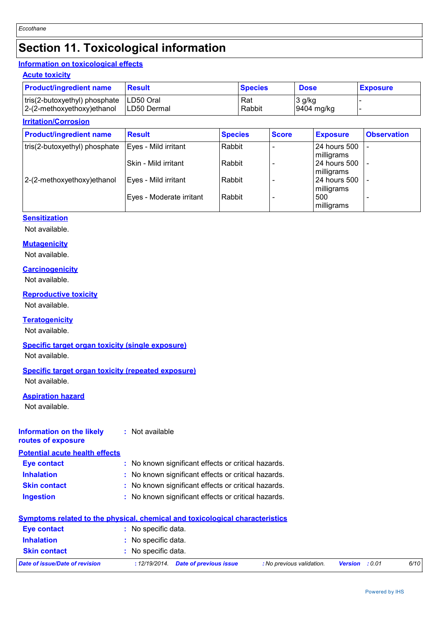# **Section 11. Toxicological information**

### **Information on toxicological effects**

#### **Acute toxicity**

| <b>Product/ingredient name</b>            | Result       | <b>Species</b> | <b>Dose</b>  | <b>Exposure</b> |
|-------------------------------------------|--------------|----------------|--------------|-----------------|
| tris(2-butoxyethyl) phosphate   LD50 Oral |              | Rat            | 3 g/kg       |                 |
| $ 2-(2-methoxyethoxy)ethanol$             | ILD50 Dermal | Rabbit         | $9404$ mg/kg |                 |

#### **Irritation/Corrosion**

| <b>Product/ingredient name</b> | <b>Result</b>            | <b>Species</b> | <b>Score</b> | <b>Exposure</b> | <b>Observation</b> |
|--------------------------------|--------------------------|----------------|--------------|-----------------|--------------------|
| tris(2-butoxyethyl) phosphate  | Eyes - Mild irritant     | Rabbit         |              | l 24 hours 500  |                    |
|                                |                          |                |              | milligrams      |                    |
|                                | l Skin - Mild irritant   | Rabbit         |              | 24 hours 500    |                    |
|                                |                          |                |              | milligrams      |                    |
| 2-(2-methoxyethoxy) ethanol    | Eyes - Mild irritant     | Rabbit         |              | l 24 hours 500  |                    |
|                                |                          |                |              | milligrams      |                    |
|                                | Eyes - Moderate irritant | Rabbit         |              | 500             |                    |
|                                |                          |                |              | milligrams      |                    |

### **Sensitization**

Not available.

#### **Mutagenicity**

Not available.

#### **Carcinogenicity**

Not available.

#### **Reproductive toxicity**

Not available.

### **Teratogenicity**

Not available.

#### **Specific target organ toxicity (single exposure)**

Not available.

#### **Specific target organ toxicity (repeated exposure)**

Not available.

### **Aspiration hazard**

Not available.

#### **Information on the likely routes of exposure :** Not available

**Potential acute health effects**

| Eye contact         | : No known significant effects or critical hazards. |
|---------------------|-----------------------------------------------------|
| <b>Inhalation</b>   | : No known significant effects or critical hazards. |
| <b>Skin contact</b> | : No known significant effects or critical hazards. |

**Ingestion :** No known significant effects or critical hazards.

|                                | <b>Symptoms related to the physical, chemical and toxicological characteristics</b> |                       |      |
|--------------------------------|-------------------------------------------------------------------------------------|-----------------------|------|
| <b>Eye contact</b>             | : No specific data.                                                                 |                       |      |
| <b>Inhalation</b>              | : No specific data.                                                                 |                       |      |
| <b>Skin contact</b>            | : No specific data.                                                                 |                       |      |
| Date of issue/Date of revision | <b>Date of previous issue</b><br>: No previous validation.<br>: 12/19/2014.         | <b>Version</b> : 0.01 | 6/10 |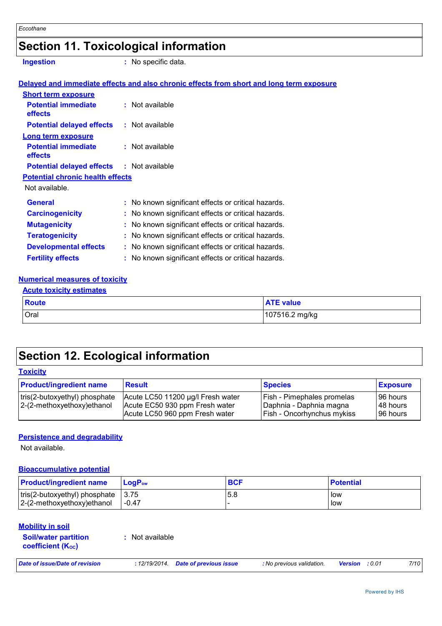# **Section 11. Toxicological information**

**Ingestion :** No specific data.

#### Not available. **General :** No known significant effects or critical hazards. **Potential chronic health effects Delayed and immediate effects and also chronic effects from short and long term exposure Potential immediate effects :** Not available **Short term exposure Potential delayed effects :** Not available **Potential immediate effects :** Not available **Long term exposure Potential delayed effects :** Not available

| General                      | . TVO KITOWIT SIGHIJICAHL EHECLS OF CHILCAL HAZARUS. |
|------------------------------|------------------------------------------------------|
| <b>Carcinogenicity</b>       | : No known significant effects or critical hazards.  |
| <b>Mutagenicity</b>          | : No known significant effects or critical hazards.  |
| <b>Teratogenicity</b>        | : No known significant effects or critical hazards.  |
| <b>Developmental effects</b> | : No known significant effects or critical hazards.  |
| <b>Fertility effects</b>     | : No known significant effects or critical hazards.  |

#### **Numerical measures of toxicity**

#### **Acute toxicity estimates**

| <b>Route</b> | <b>ATE value</b> |
|--------------|------------------|
| Oral         | 107516.2 mg/kg   |

# **Section 12. Ecological information**

#### **Toxicity**

| <b>Product/ingredient name</b>                               | <b>Result</b>                                                                                         | <b>Species</b>                                                                                    | <b>Exposure</b>                     |
|--------------------------------------------------------------|-------------------------------------------------------------------------------------------------------|---------------------------------------------------------------------------------------------------|-------------------------------------|
| tris(2-butoxyethyl) phosphate<br>2-(2-methoxyethoxy) ethanol | Acute LC50 11200 µg/l Fresh water<br>Acute EC50 930 ppm Fresh water<br>Acute LC50 960 ppm Fresh water | <b>Fish - Pimephales promelas</b><br>Daphnia - Daphnia magna<br><b>Fish - Oncorhynchus mykiss</b> | 196 hours<br>148 hours<br>196 hours |

#### **Persistence and degradability**

Not available.

#### **Bioaccumulative potential**

| <b>Product/ingredient name</b>                                             | <b>LogP</b> <sub>ow</sub> | <b>BCF</b> | <b>Potential</b> |
|----------------------------------------------------------------------------|---------------------------|------------|------------------|
| $ tris(2-butoxyethyl)$ phosphate $ 3.75 $<br>$ 2-(2-methoxyethoxy)ethanol$ | -0.47                     | 5.8        | low<br>low       |

#### **Mobility in soil**

| <b>Soil/water partition</b> | : Not available |
|-----------------------------|-----------------|
| coefficient $(K_{oc})$      |                 |

*Date of issue/Date of revision* **:** *12/19/2014. Date of previous issue : No previous validation. Version : 0.01 7/10*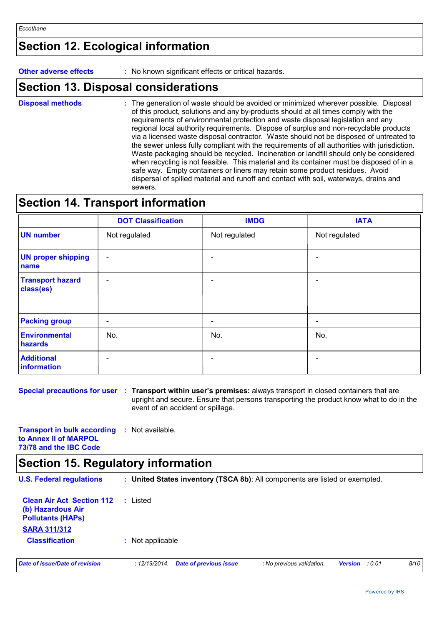# **Section 12. Ecological information**

**Other adverse effects** : No known significant effects or critical hazards.

### **Section 13. Disposal considerations**

The generation of waste should be avoided or minimized wherever possible. Disposal of this product, solutions and any by-products should at all times comply with the requirements of environmental protection and waste disposal legislation and any regional local authority requirements. Dispose of surplus and non-recyclable products via a licensed waste disposal contractor. Waste should not be disposed of untreated to the sewer unless fully compliant with the requirements of all authorities with jurisdiction. Waste packaging should be recycled. Incineration or landfill should only be considered when recycling is not feasible. This material and its container must be disposed of in a safe way. Empty containers or liners may retain some product residues. Avoid dispersal of spilled material and runoff and contact with soil, waterways, drains and sewers. **Disposal methods :**

# **Section 14. Transport information**

|                                      | <b>DOT Classification</b> | <b>IMDG</b>   | <b>IATA</b>              |
|--------------------------------------|---------------------------|---------------|--------------------------|
| <b>UN number</b>                     | Not regulated             | Not regulated | Not regulated            |
| <b>UN proper shipping</b><br>name    | $\overline{\phantom{a}}$  |               | $\overline{\phantom{0}}$ |
| <b>Transport hazard</b><br>class(es) | $\overline{\phantom{a}}$  |               | $\blacksquare$           |
| <b>Packing group</b>                 | $\overline{\phantom{a}}$  |               | $\overline{a}$           |
| Environmental<br>hazards             | No.                       | No.           | No.                      |
| <b>Additional</b><br>information     | $\overline{\phantom{0}}$  |               |                          |

**Special precautions for user : Transport within user's premises: always transport in closed containers that are** upright and secure. Ensure that persons transporting the product know what to do in the event of an accident or spillage.

**Transport in bulk according :** Not available. **to Annex II of MARPOL 73/78 and the IBC Code**

# **Section 15. Regulatory information**

| <b>U.S. Federal regulations</b>                                                                          |                  |                               | : United States inventory (TSCA 8b): All components are listed or exempted. |                |      |      |
|----------------------------------------------------------------------------------------------------------|------------------|-------------------------------|-----------------------------------------------------------------------------|----------------|------|------|
| <b>Clean Air Act Section 112</b><br>(b) Hazardous Air<br><b>Pollutants (HAPs)</b><br><b>SARA 311/312</b> | : Listed         |                               |                                                                             |                |      |      |
| <b>Classification</b>                                                                                    | : Not applicable |                               |                                                                             |                |      |      |
| Date of issue/Date of revision                                                                           | : 12/19/2014.    | <b>Date of previous issue</b> | : No previous validation.                                                   | <b>Version</b> | :001 | 8/10 |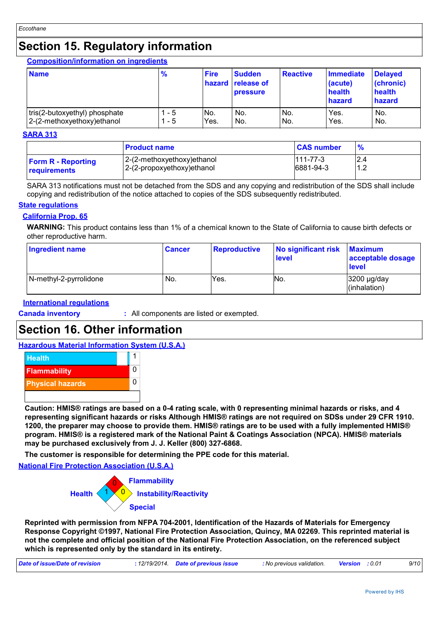# **Section 15. Regulatory information**

**Composition/information on ingredients**

| <b>Name</b>                   | $\frac{9}{6}$ | <b>Fire</b> | <b>Sudden</b><br><b>hazard release of</b><br><b>pressure</b> | <b>Reactive</b> | <b>Immediate</b><br>(acute)<br>health<br>hazard | <b>Delayed</b><br>(chronic)<br>health<br>hazard |
|-------------------------------|---------------|-------------|--------------------------------------------------------------|-----------------|-------------------------------------------------|-------------------------------------------------|
| tris(2-butoxyethyl) phosphate | - 5           | No.         | No.                                                          | INo.            | Yes.                                            | No.                                             |
| 2-(2-methoxyethoxy) ethanol   | - 5           | Yes.        | No.                                                          | No.             | Yes.                                            | No.                                             |

#### **SARA 313**

|                                                  | <b>Product name</b>                                       | <b>CAS number</b>           | $\frac{9}{6}$                     |
|--------------------------------------------------|-----------------------------------------------------------|-----------------------------|-----------------------------------|
| <b>Form R - Reporting</b><br><b>requirements</b> | 2-(2-methoxyethoxy)ethanol<br>2-(2-propoxyethoxy) ethanol | $111 - 77 - 3$<br>6881-94-3 | 2.4<br>ົ<br>$\overline{A}$<br>ے . |

SARA 313 notifications must not be detached from the SDS and any copying and redistribution of the SDS shall include copying and redistribution of the notice attached to copies of the SDS subsequently redistributed.

#### **State regulations**

#### **California Prop. 65**

**WARNING:** This product contains less than 1% of a chemical known to the State of California to cause birth defects or other reproductive harm.

| Ingredient name        | <b>Cancer</b> | <b>Reproductive</b> | No significant risk<br><b>level</b> | <b>Maximum</b><br>acceptable dosage<br><b>level</b> |
|------------------------|---------------|---------------------|-------------------------------------|-----------------------------------------------------|
| N-methyl-2-pyrrolidone | No.           | Yes.                | NO.                                 | 3200 µg/day<br>(inhalation)                         |

#### **International regulations**

**Canada inventory :** All components are listed or exempted.

# **Section 16. Other information**

#### **Hazardous Material Information System (U.S.A.)**



**Caution: HMIS® ratings are based on a 0-4 rating scale, with 0 representing minimal hazards or risks, and 4 representing significant hazards or risks Although HMIS® ratings are not required on SDSs under 29 CFR 1910. 1200, the preparer may choose to provide them. HMIS® ratings are to be used with a fully implemented HMIS® program. HMIS® is a registered mark of the National Paint & Coatings Association (NPCA). HMIS® materials may be purchased exclusively from J. J. Keller (800) 327-6868.**

**The customer is responsible for determining the PPE code for this material.**

**National Fire Protection Association (U.S.A.)**



**Reprinted with permission from NFPA 704-2001, Identification of the Hazards of Materials for Emergency Response Copyright ©1997, National Fire Protection Association, Quincy, MA 02269. This reprinted material is not the complete and official position of the National Fire Protection Association, on the referenced subject which is represented only by the standard in its entirety.**

| Date of issue/Date of revision | : 12/19/2014 Date of previous issue | : No previous validation. | <b>Version</b> :0.01 | 9/10 |
|--------------------------------|-------------------------------------|---------------------------|----------------------|------|
|                                |                                     |                           |                      |      |